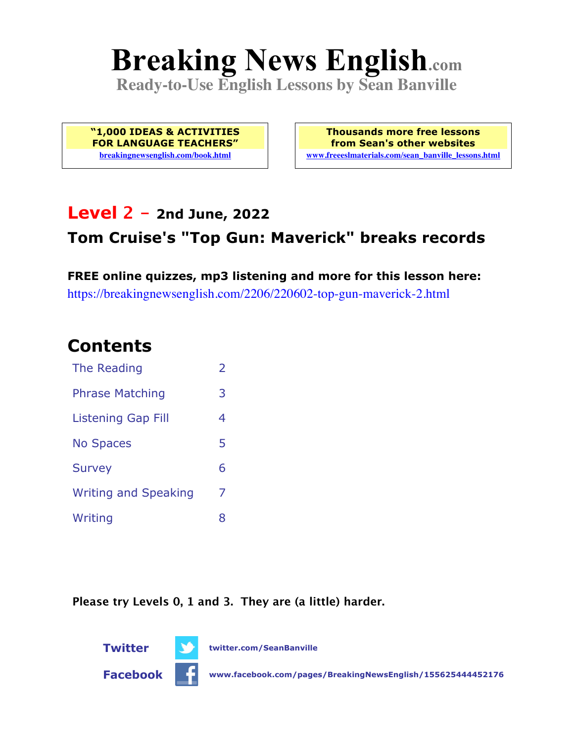# **Breaking News English.com**

**Ready-to-Use English Lessons by Sean Banville**

**"1,000 IDEAS & ACTIVITIES FOR LANGUAGE TEACHERS" breakingnewsenglish.com/book.html**

**Thousands more free lessons from Sean's other websites www.freeeslmaterials.com/sean\_banville\_lessons.html**

### **Level 2 - 2nd June, 2022**

### **Tom Cruise's "Top Gun: Maverick" breaks records**

**FREE online quizzes, mp3 listening and more for this lesson here:** https://breakingnewsenglish.com/2206/220602-top-gun-maverick-2.html

### **Contents**

| The Reading                 | $\overline{\phantom{a}}$ |
|-----------------------------|--------------------------|
| <b>Phrase Matching</b>      | 3                        |
| <b>Listening Gap Fill</b>   | 4                        |
| <b>No Spaces</b>            | 5                        |
| <b>Survey</b>               | 6                        |
| <b>Writing and Speaking</b> | 7                        |
| Writing                     | 8                        |

**Please try Levels 0, 1 and 3. They are (a little) harder.**

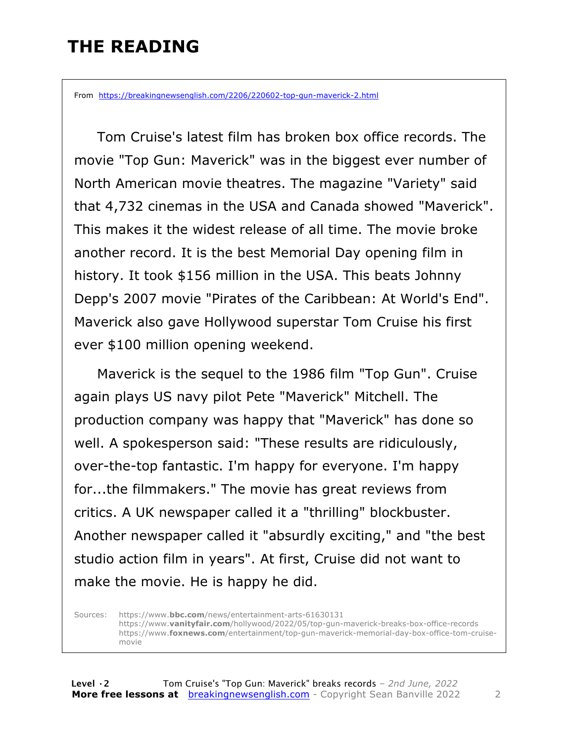# **THE READING**

From https://breakingnewsenglish.com/2206/220602-top-gun-maverick-2.html

 Tom Cruise's latest film has broken box office records. The movie "Top Gun: Maverick" was in the biggest ever number of North American movie theatres. The magazine "Variety" said that 4,732 cinemas in the USA and Canada showed "Maverick". This makes it the widest release of all time. The movie broke another record. It is the best Memorial Day opening film in history. It took \$156 million in the USA. This beats Johnny Depp's 2007 movie "Pirates of the Caribbean: At World's End". Maverick also gave Hollywood superstar Tom Cruise his first ever \$100 million opening weekend.

 Maverick is the sequel to the 1986 film "Top Gun". Cruise again plays US navy pilot Pete "Maverick" Mitchell. The production company was happy that "Maverick" has done so well. A spokesperson said: "These results are ridiculously, over-the-top fantastic. I'm happy for everyone. I'm happy for...the filmmakers." The movie has great reviews from critics. A UK newspaper called it a "thrilling" blockbuster. Another newspaper called it "absurdly exciting," and "the best studio action film in years". At first, Cruise did not want to make the movie. He is happy he did.

Sources: https://www.**bbc.com**/news/entertainment-arts-61630131 https://www.**vanityfair.com**/hollywood/2022/05/top-gun-maverick-breaks-box-office-records https://www.**foxnews.com**/entertainment/top-gun-maverick-memorial-day-box-office-tom-cruisemovie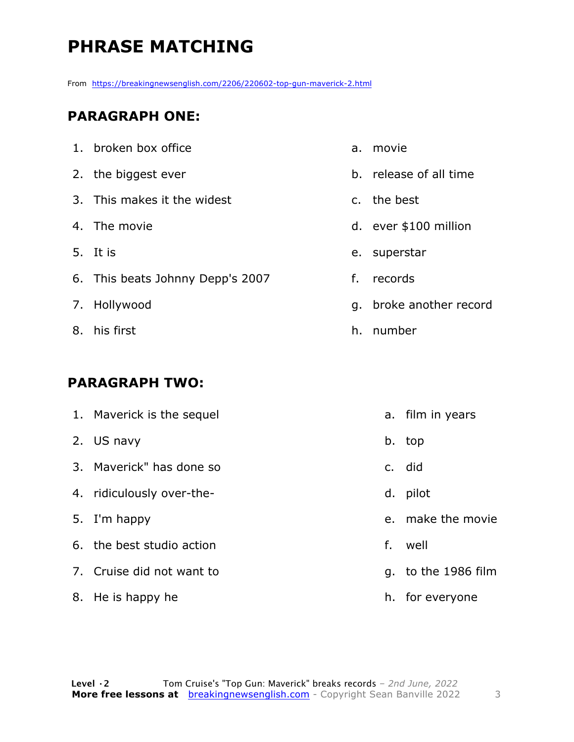# **PHRASE MATCHING**

From https://breakingnewsenglish.com/2206/220602-top-gun-maverick-2.html

#### **PARAGRAPH ONE:**

| 1. broken box office             |
|----------------------------------|
| 2. the biggest ever              |
| 3. This makes it the widest      |
| 4. The movie                     |
| 5. It is                         |
| 6. This beats Johnny Depp's 2007 |
| 7. Hollywood                     |
| 8. his first                     |
|                                  |

#### **PARAGRAPH TWO:**

| 1. Maverick is the sequel |    | a. film in years    |
|---------------------------|----|---------------------|
| 2. US navy                |    | b. top              |
| 3. Maverick" has done so  |    | c. did              |
| 4. ridiculously over-the- |    | d. pilot            |
| 5. I'm happy              |    | e. make the movie   |
| 6. the best studio action | f. | well                |
| 7. Cruise did not want to |    | g. to the 1986 film |
| 8. He is happy he         |    | h. for everyone     |

- a. movie
- b. release of all time
- c. the best
- d. ever \$100 million
- e. superstar
- f. records
- g. broke another record
- h. number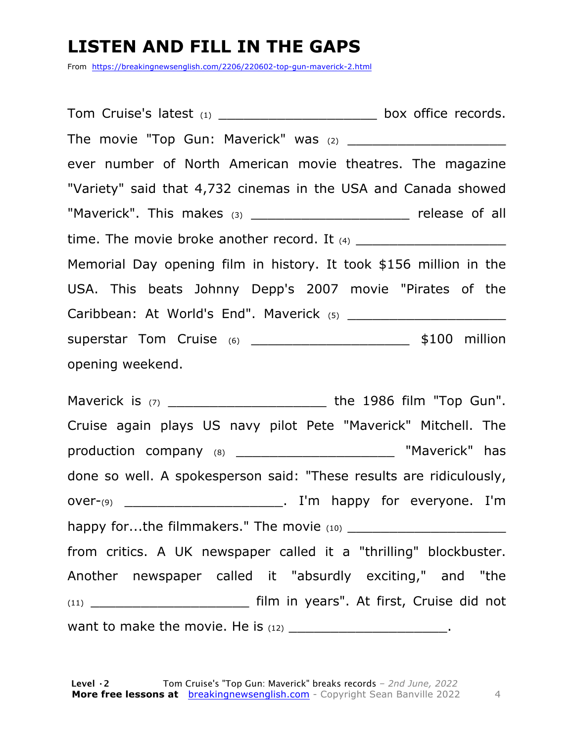# **LISTEN AND FILL IN THE GAPS**

From https://breakingnewsenglish.com/2206/220602-top-gun-maverick-2.html

Tom Cruise's latest (1) example 10 and the box office records. The movie "Top Gun: Maverick" was  $(2)$ ever number of North American movie theatres. The magazine "Variety" said that 4,732 cinemas in the USA and Canada showed "Maverick". This makes (3) The same of all release of all time. The movie broke another record. It  $(4)$ Memorial Day opening film in history. It took \$156 million in the USA. This beats Johnny Depp's 2007 movie "Pirates of the Caribbean: At World's End". Maverick (5) \_\_\_\_\_\_\_\_\_\_\_\_\_\_\_\_\_\_\_ superstar Tom Cruise (6) \_\_\_\_\_\_\_\_\_\_\_\_\_\_\_\_\_\_\_ \$100 million opening weekend.

Maverick is (7) \_\_\_\_\_\_\_\_\_\_\_\_\_\_\_\_\_\_\_\_\_\_\_\_\_\_\_\_\_\_\_\_the 1986 film "Top Gun". Cruise again plays US navy pilot Pete "Maverick" Mitchell. The production company (8) \_\_\_\_\_\_\_\_\_\_\_\_\_\_\_\_\_\_\_\_\_\_\_\_ "Maverick" has done so well. A spokesperson said: "These results are ridiculously, over-(9) **by**  $\blacksquare$  **contrary the light over-(9) contrary over-(9) contrary in the light of**  $\blacksquare$  **in the light of**  $\blacksquare$  **in the light over**happy for...the filmmakers." The movie  $(10)$ from critics. A UK newspaper called it a "thrilling" blockbuster. Another newspaper called it "absurdly exciting," and "the (11) \_\_\_\_\_\_\_\_\_\_\_\_\_\_\_\_\_\_\_ film in years". At first, Cruise did not want to make the movie. He is  $(12)$  \_\_\_\_\_\_\_\_\_\_\_\_\_\_\_\_\_\_\_\_\_\_\_.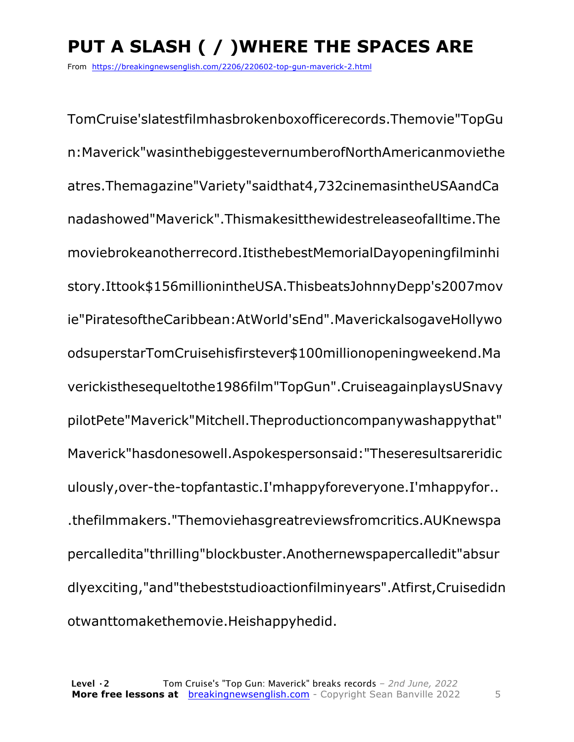# **PUT A SLASH ( / )WHERE THE SPACES ARE**

From https://breakingnewsenglish.com/2206/220602-top-gun-maverick-2.html

TomCruise'slatestfilmhasbrokenboxofficerecords.Themovie"TopGu n:Maverick"wasinthebiggestevernumberofNorthAmericanmoviethe atres.Themagazine"Variety"saidthat4,732cinemasintheUSAandCa nadashowed"Maverick".Thismakesitthewidestreleaseofalltime.The moviebrokeanotherrecord.ItisthebestMemorialDayopeningfilminhi story.Ittook\$156millionintheUSA.ThisbeatsJohnnyDepp's2007mov ie"PiratesoftheCaribbean:AtWorld'sEnd".MaverickalsogaveHollywo odsuperstarTomCruisehisfirstever\$100millionopeningweekend.Ma verickisthesequeltothe1986film"TopGun".CruiseagainplaysUSnavy pilotPete"Maverick"Mitchell.Theproductioncompanywashappythat" Maverick"hasdonesowell.Aspokespersonsaid:"Theseresultsareridic ulously,over-the-topfantastic.I'mhappyforeveryone.I'mhappyfor.. .thefilmmakers."Themoviehasgreatreviewsfromcritics.AUKnewspa percalledita"thrilling"blockbuster.Anothernewspapercalledit"absur dlyexciting,"and"thebeststudioactionfilminyears".Atfirst,Cruisedidn otwanttomakethemovie.Heishappyhedid.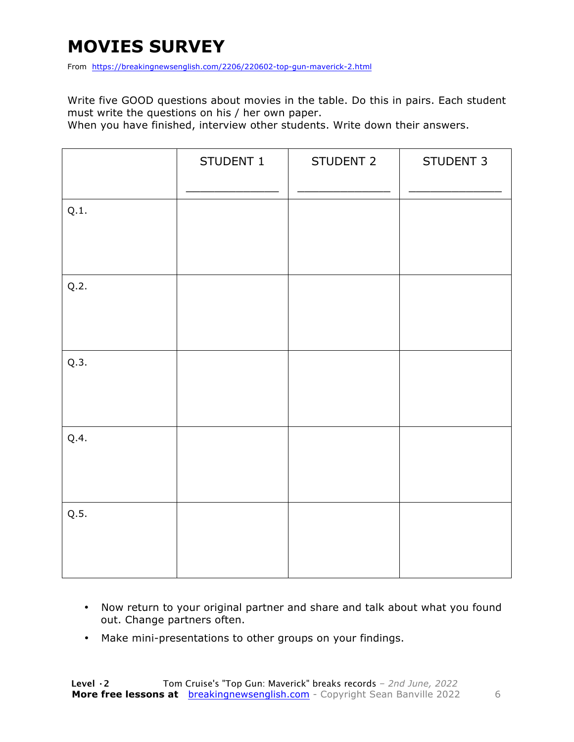# **MOVIES SURVEY**

From https://breakingnewsenglish.com/2206/220602-top-gun-maverick-2.html

Write five GOOD questions about movies in the table. Do this in pairs. Each student must write the questions on his / her own paper.

When you have finished, interview other students. Write down their answers.

|      | STUDENT 1 | STUDENT 2 | STUDENT 3 |
|------|-----------|-----------|-----------|
| Q.1. |           |           |           |
| Q.2. |           |           |           |
| Q.3. |           |           |           |
| Q.4. |           |           |           |
| Q.5. |           |           |           |

- Now return to your original partner and share and talk about what you found out. Change partners often.
- Make mini-presentations to other groups on your findings.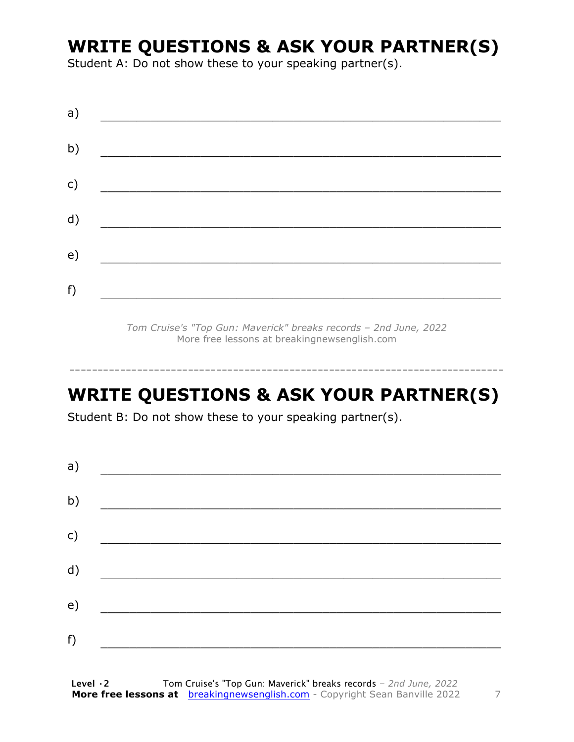# **WRITE QUESTIONS & ASK YOUR PARTNER(S)**

Student A: Do not show these to your speaking partner(s).

| a) |  |  |
|----|--|--|
| b) |  |  |
| c) |  |  |
| d) |  |  |
| e) |  |  |
| f) |  |  |
|    |  |  |

*Tom Cruise's "Top Gun: Maverick" breaks records – 2nd June, 2022* More free lessons at breakingnewsenglish.com

## **WRITE QUESTIONS & ASK YOUR PARTNER(S)**

-----------------------------------------------------------------------------

Student B: Do not show these to your speaking partner(s).

| a) |  |  |
|----|--|--|
| b) |  |  |
| c) |  |  |
| d) |  |  |
| e) |  |  |
| f) |  |  |
|    |  |  |

**Level ·2** Tom Cruise's "Top Gun: Maverick" breaks records *– 2nd June, 2022* **More free lessons at** breakingnewsenglish.com - Copyright Sean Banville 2022 7